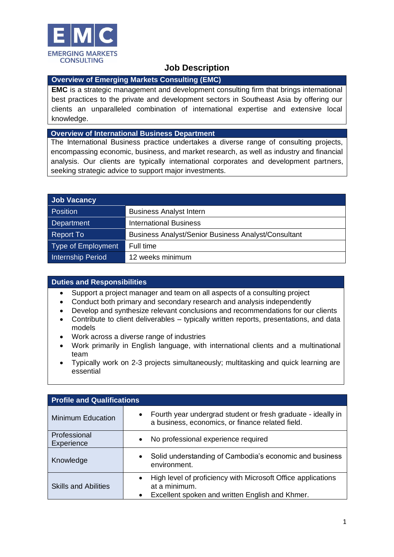

# **Job Description**

## **Overview of Emerging Markets Consulting (EMC)**

**EMC** is a strategic management and development consulting firm that brings international best practices to the private and development sectors in Southeast Asia by offering our clients an unparalleled combination of international expertise and extensive local knowledge.

#### **Overview of International Business Department**

The International Business practice undertakes a diverse range of consulting projects, encompassing economic, business, and market research, as well as industry and financial analysis. Our clients are typically international corporates and development partners, seeking strategic advice to support major investments.

| <b>Job Vacancy</b>        |                                                            |
|---------------------------|------------------------------------------------------------|
| <b>Position</b>           | <b>Business Analyst Intern</b>                             |
| Department                | <b>International Business</b>                              |
| <b>Report To</b>          | <b>Business Analyst/Senior Business Analyst/Consultant</b> |
| <b>Type of Employment</b> | Full time                                                  |
| Internship Period         | 12 weeks minimum                                           |

#### **Duties and Responsibilities**

- Support a project manager and team on all aspects of a consulting project
- Conduct both primary and secondary research and analysis independently
- Develop and synthesize relevant conclusions and recommendations for our clients
- Contribute to client deliverables typically written reports, presentations, and data models
- Work across a diverse range of industries
- Work primarily in English language, with international clients and a multinational team
- Typically work on 2-3 projects simultaneously; multitasking and quick learning are essential

| <b>Profile and Qualifications</b> |                                                                                                                                               |  |
|-----------------------------------|-----------------------------------------------------------------------------------------------------------------------------------------------|--|
| <b>Minimum Education</b>          | Fourth year undergrad student or fresh graduate - ideally in<br>$\bullet$<br>a business, economics, or finance related field.                 |  |
| Professional<br>Experience        | No professional experience required<br>$\bullet$                                                                                              |  |
| Knowledge                         | Solid understanding of Cambodia's economic and business<br>$\bullet$<br>environment.                                                          |  |
| <b>Skills and Abilities</b>       | High level of proficiency with Microsoft Office applications<br>$\bullet$<br>at a minimum.<br>Excellent spoken and written English and Khmer. |  |